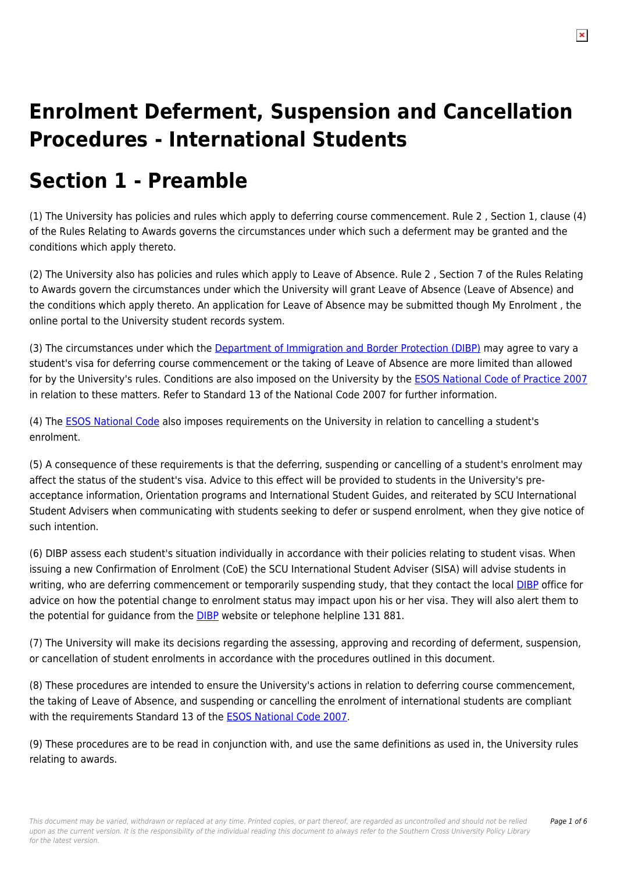# **Enrolment Deferment, Suspension and Cancellation Procedures - International Students**

# **Section 1 - Preamble**

(1) The University has policies and rules which apply to deferring course commencement. Rule 2 , Section 1, clause (4) of the Rules Relating to Awards governs the circumstances under which such a deferment may be granted and the conditions which apply thereto.

(2) The University also has policies and rules which apply to Leave of Absence. Rule 2 , Section 7 of the Rules Relating to Awards govern the circumstances under which the University will grant Leave of Absence (Leave of Absence) and the conditions which apply thereto. An application for Leave of Absence may be submitted though My Enrolment , the online portal to the University student records system.

(3) The circumstances under which the [Department of Immigration and Border Protection \(DIBP\)](https://policies.dev.scu.edu.au/download.php?id=67&version=3&associated) may agree to vary a student's visa for deferring course commencement or the taking of Leave of Absence are more limited than allowed for by the University's rules. Conditions are also imposed on the University by the **ESOS National Code of Practice 2007** in relation to these matters. Refer to Standard 13 of the National Code 2007 for further information.

(4) The [ESOS National Code](https://policies.dev.scu.edu.au/download.php?id=66&version=5&associated) also imposes requirements on the University in relation to cancelling a student's enrolment.

(5) A consequence of these requirements is that the deferring, suspending or cancelling of a student's enrolment may affect the status of the student's visa. Advice to this effect will be provided to students in the University's preacceptance information, Orientation programs and International Student Guides, and reiterated by SCU International Student Advisers when communicating with students seeking to defer or suspend enrolment, when they give notice of such intention.

(6) DIBP assess each student's situation individually in accordance with their policies relating to student visas. When issuing a new Confirmation of Enrolment (CoE) the SCU International Student Adviser (SISA) will advise students in writing, who are deferring commencement or temporarily suspending study, that they contact the local **DIBP** office for advice on how the potential change to enrolment status may impact upon his or her visa. They will also alert them to the potential for guidance from the **[DIBP](https://policies.dev.scu.edu.au/download.php?id=67&version=3&associated)** website or telephone helpline 131 881.

(7) The University will make its decisions regarding the assessing, approving and recording of deferment, suspension, or cancellation of student enrolments in accordance with the procedures outlined in this document.

(8) These procedures are intended to ensure the University's actions in relation to deferring course commencement, the taking of Leave of Absence, and suspending or cancelling the enrolment of international students are compliant with the requirements Standard 13 of the **ESOS National Code 2007**.

(9) These procedures are to be read in conjunction with, and use the same definitions as used in, the University rules relating to awards.

Page 1 of 6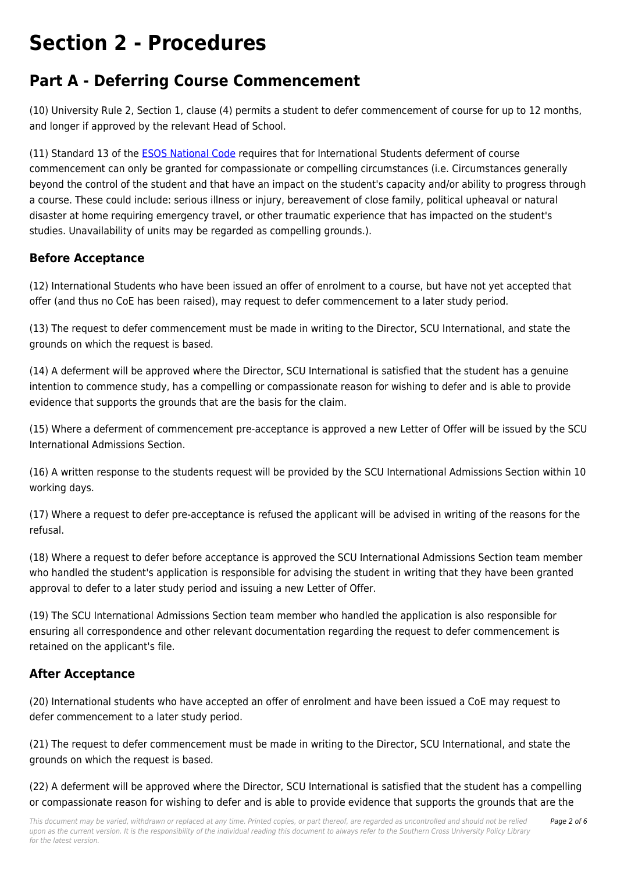## **Section 2 - Procedures**

## **Part A - Deferring Course Commencement**

(10) University Rule 2, Section 1, clause (4) permits a student to defer commencement of course for up to 12 months, and longer if approved by the relevant Head of School.

(11) Standard 13 of the [ESOS National Code](https://policies.dev.scu.edu.au/download.php?id=66&version=5&associated) requires that for International Students deferment of course commencement can only be granted for compassionate or compelling circumstances (i.e. Circumstances generally beyond the control of the student and that have an impact on the student's capacity and/or ability to progress through a course. These could include: serious illness or injury, bereavement of close family, political upheaval or natural disaster at home requiring emergency travel, or other traumatic experience that has impacted on the student's studies. Unavailability of units may be regarded as compelling grounds.).

### **Before Acceptance**

(12) International Students who have been issued an offer of enrolment to a course, but have not yet accepted that offer (and thus no CoE has been raised), may request to defer commencement to a later study period.

(13) The request to defer commencement must be made in writing to the Director, SCU International, and state the grounds on which the request is based.

(14) A deferment will be approved where the Director, SCU International is satisfied that the student has a genuine intention to commence study, has a compelling or compassionate reason for wishing to defer and is able to provide evidence that supports the grounds that are the basis for the claim.

(15) Where a deferment of commencement pre-acceptance is approved a new Letter of Offer will be issued by the SCU International Admissions Section.

(16) A written response to the students request will be provided by the SCU International Admissions Section within 10 working days.

(17) Where a request to defer pre-acceptance is refused the applicant will be advised in writing of the reasons for the refusal.

(18) Where a request to defer before acceptance is approved the SCU International Admissions Section team member who handled the student's application is responsible for advising the student in writing that they have been granted approval to defer to a later study period and issuing a new Letter of Offer.

(19) The SCU International Admissions Section team member who handled the application is also responsible for ensuring all correspondence and other relevant documentation regarding the request to defer commencement is retained on the applicant's file.

### **After Acceptance**

(20) International students who have accepted an offer of enrolment and have been issued a CoE may request to defer commencement to a later study period.

(21) The request to defer commencement must be made in writing to the Director, SCU International, and state the grounds on which the request is based.

(22) A deferment will be approved where the Director, SCU International is satisfied that the student has a compelling or compassionate reason for wishing to defer and is able to provide evidence that supports the grounds that are the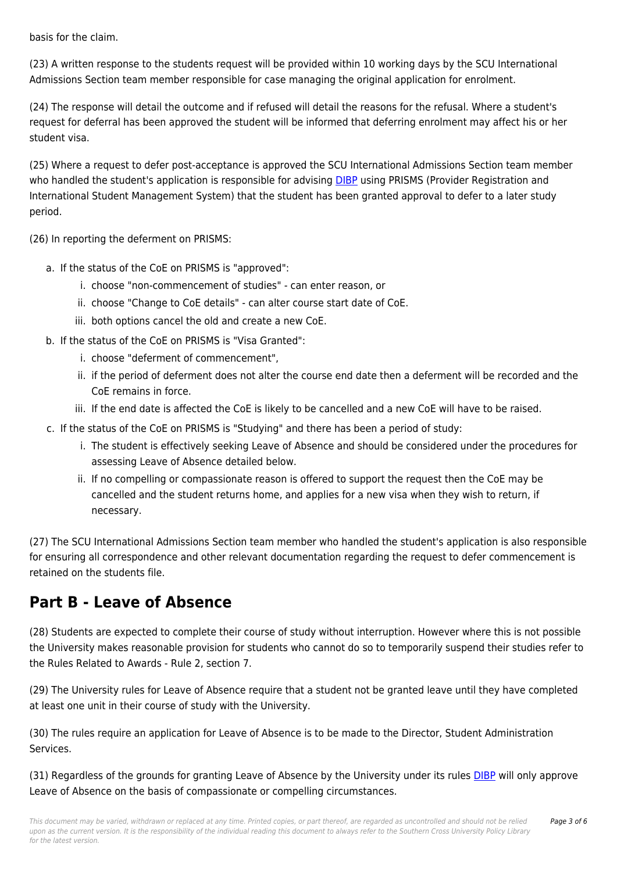basis for the claim.

(23) A written response to the students request will be provided within 10 working days by the SCU International Admissions Section team member responsible for case managing the original application for enrolment.

(24) The response will detail the outcome and if refused will detail the reasons for the refusal. Where a student's request for deferral has been approved the student will be informed that deferring enrolment may affect his or her student visa.

(25) Where a request to defer post-acceptance is approved the SCU International Admissions Section team member who handled the student's application is responsible for advising [DIBP](https://policies.dev.scu.edu.au/download.php?id=67&version=3&associated) using PRISMS (Provider Registration and International Student Management System) that the student has been granted approval to defer to a later study period.

(26) In reporting the deferment on PRISMS:

- a. If the status of the CoE on PRISMS is "approved":
	- i. choose "non-commencement of studies" can enter reason, or
	- ii. choose "Change to CoE details" can alter course start date of CoE.
	- iii. both options cancel the old and create a new CoE.
- b. If the status of the CoE on PRISMS is "Visa Granted":
	- i. choose "deferment of commencement",
	- ii. if the period of deferment does not alter the course end date then a deferment will be recorded and the CoE remains in force.
	- iii. If the end date is affected the CoE is likely to be cancelled and a new CoE will have to be raised.
- c. If the status of the CoE on PRISMS is "Studying" and there has been a period of study:
	- i. The student is effectively seeking Leave of Absence and should be considered under the procedures for assessing Leave of Absence detailed below.
	- ii. If no compelling or compassionate reason is offered to support the request then the CoE may be cancelled and the student returns home, and applies for a new visa when they wish to return, if necessary.

(27) The SCU International Admissions Section team member who handled the student's application is also responsible for ensuring all correspondence and other relevant documentation regarding the request to defer commencement is retained on the students file.

### **Part B - Leave of Absence**

(28) Students are expected to complete their course of study without interruption. However where this is not possible the University makes reasonable provision for students who cannot do so to temporarily suspend their studies refer to the Rules Related to Awards - Rule 2, section 7.

(29) The University rules for Leave of Absence require that a student not be granted leave until they have completed at least one unit in their course of study with the University.

(30) The rules require an application for Leave of Absence is to be made to the Director, Student Administration Services.

(31) Regardless of the grounds for granting Leave of Absence by the University under its rules [DIBP](https://policies.dev.scu.edu.au/download.php?id=67&version=3&associated) will only approve Leave of Absence on the basis of compassionate or compelling circumstances.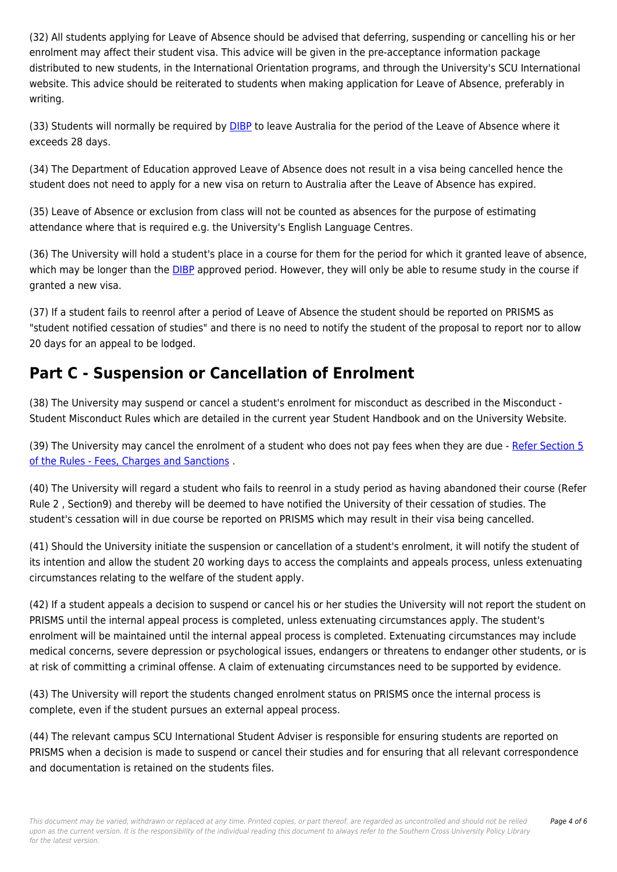(32) All students applying for Leave of Absence should be advised that deferring, suspending or cancelling his or her enrolment may affect their student visa. This advice will be given in the pre-acceptance information package distributed to new students, in the International Orientation programs, and through the University's SCU International website. This advice should be reiterated to students when making application for Leave of Absence, preferably in writing.

(33) Students will normally be required by [DIBP](https://policies.dev.scu.edu.au/download.php?id=67&version=3&associated) to leave Australia for the period of the Leave of Absence where it exceeds 28 days.

(34) The Department of Education approved Leave of Absence does not result in a visa being cancelled hence the student does not need to apply for a new visa on return to Australia after the Leave of Absence has expired.

(35) Leave of Absence or exclusion from class will not be counted as absences for the purpose of estimating attendance where that is required e.g. the University's English Language Centres.

(36) The University will hold a student's place in a course for them for the period for which it granted leave of absence, which may be longer than the [DIBP](https://policies.dev.scu.edu.au/download.php?id=67&version=3&associated) approved period. However, they will only be able to resume study in the course if granted a new visa.

(37) If a student fails to reenrol after a period of Leave of Absence the student should be reported on PRISMS as "student notified cessation of studies" and there is no need to notify the student of the proposal to report nor to allow 20 days for an appeal to be lodged.

## **Part C - Suspension or Cancellation of Enrolment**

(38) The University may suspend or cancel a student's enrolment for misconduct as described in the Misconduct - Student Misconduct Rules which are detailed in the current year Student Handbook and on the University Website.

(39) The University may cancel the enrolment of a student who does not pay fees when they are due - [Refer Section 5](http://policies.scu.edu.au/view.current.php?id=00138#s5) [of the Rules - Fees, Charges and Sanctions](http://policies.scu.edu.au/view.current.php?id=00138#s5) .

(40) The University will regard a student who fails to reenrol in a study period as having abandoned their course (Refer Rule 2 , Section9) and thereby will be deemed to have notified the University of their cessation of studies. The student's cessation will in due course be reported on PRISMS which may result in their visa being cancelled.

(41) Should the University initiate the suspension or cancellation of a student's enrolment, it will notify the student of its intention and allow the student 20 working days to access the complaints and appeals process, unless extenuating circumstances relating to the welfare of the student apply.

(42) If a student appeals a decision to suspend or cancel his or her studies the University will not report the student on PRISMS until the internal appeal process is completed, unless extenuating circumstances apply. The student's enrolment will be maintained until the internal appeal process is completed. Extenuating circumstances may include medical concerns, severe depression or psychological issues, endangers or threatens to endanger other students, or is at risk of committing a criminal offense. A claim of extenuating circumstances need to be supported by evidence.

(43) The University will report the students changed enrolment status on PRISMS once the internal process is complete, even if the student pursues an external appeal process.

(44) The relevant campus SCU International Student Adviser is responsible for ensuring students are reported on PRISMS when a decision is made to suspend or cancel their studies and for ensuring that all relevant correspondence and documentation is retained on the students files.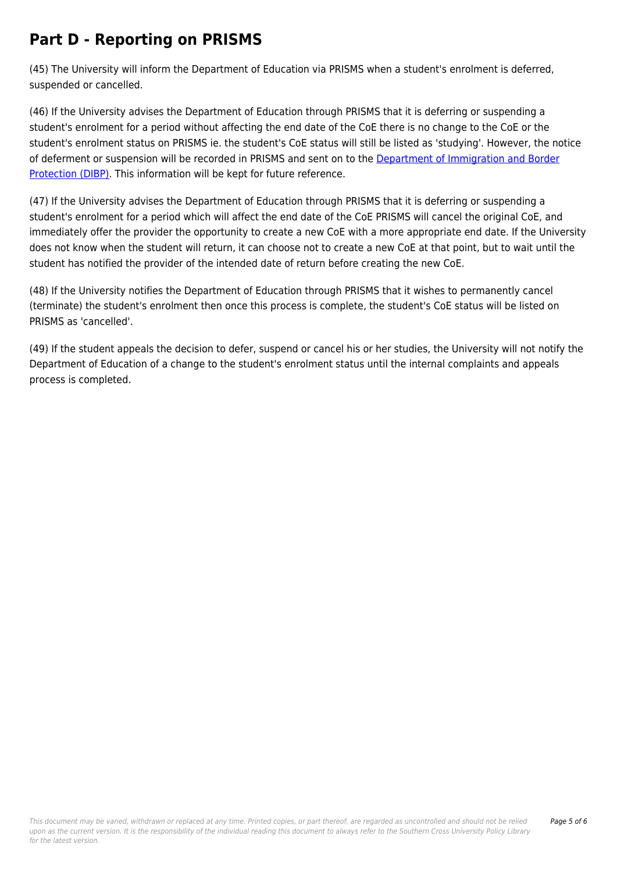## **Part D - Reporting on PRISMS**

(45) The University will inform the Department of Education via PRISMS when a student's enrolment is deferred, suspended or cancelled.

(46) If the University advises the Department of Education through PRISMS that it is deferring or suspending a student's enrolment for a period without affecting the end date of the CoE there is no change to the CoE or the student's enrolment status on PRISMS ie. the student's CoE status will still be listed as 'studying'. However, the notice of deferment or suspension will be recorded in PRISMS and sent on to the [Department of Immigration and Border](https://policies.dev.scu.edu.au/download.php?id=67&version=3&associated) [Protection \(DIBP\)](https://policies.dev.scu.edu.au/download.php?id=67&version=3&associated). This information will be kept for future reference.

(47) If the University advises the Department of Education through PRISMS that it is deferring or suspending a student's enrolment for a period which will affect the end date of the CoE PRISMS will cancel the original CoE, and immediately offer the provider the opportunity to create a new CoE with a more appropriate end date. If the University does not know when the student will return, it can choose not to create a new CoE at that point, but to wait until the student has notified the provider of the intended date of return before creating the new CoE.

(48) If the University notifies the Department of Education through PRISMS that it wishes to permanently cancel (terminate) the student's enrolment then once this process is complete, the student's CoE status will be listed on PRISMS as 'cancelled'.

(49) If the student appeals the decision to defer, suspend or cancel his or her studies, the University will not notify the Department of Education of a change to the student's enrolment status until the internal complaints and appeals process is completed.